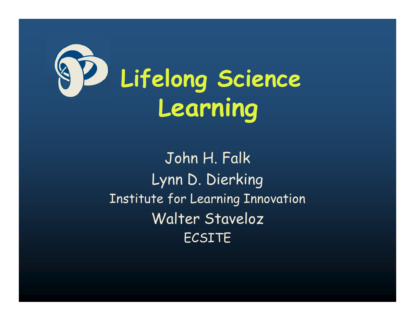

John H. Falk Lynn D. Dierking Institute for Learning Innovation Walter Staveloz ECSITE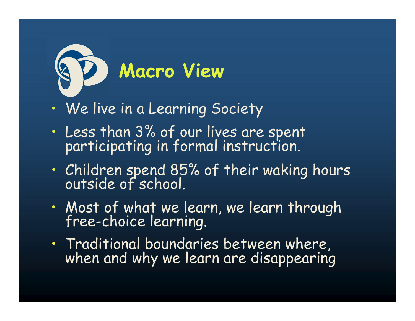

- •We live in a Learning Society
- •Less than 3% of our lives are spent participating in formal instruction.
- •• Children spend 85% of their waking hours<br>outside of school.
- •Most of what we learn, we learn through free-choice learning.
- •• Traditional boundaries between where, when and why we learn are disappearing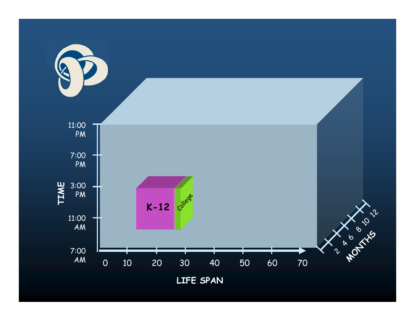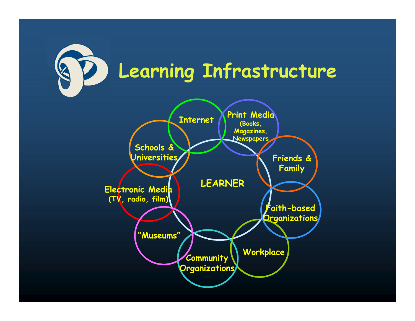

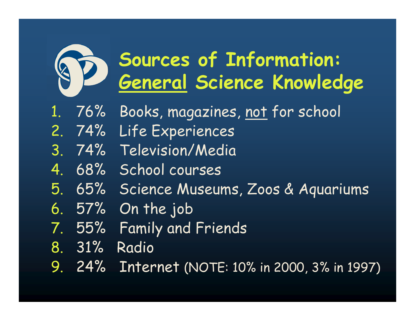

## **Sources of Information: General Science Knowledge**

- 1. 76% Books, magazines, not for school
- 2. 74% Life Experiences
- 3. 74% Television/Media
- 4. 68% School courses
- 5. 65% Science Museums, Zoos & Aquariums
- 6. 57% On the job
- 7. 55% Family and Friends
- 8. 31% Radio
- 9. 24% Internet (NOTE: 10% in 2000, 3% in 1997)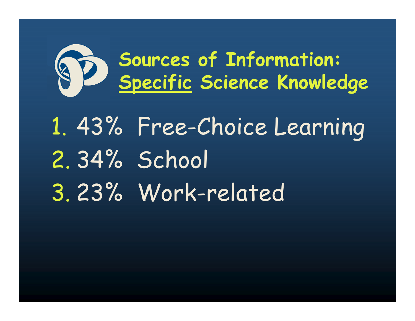

## 1. 43% Free-Choice Learning 2. 34% School 3. 23% Work-related